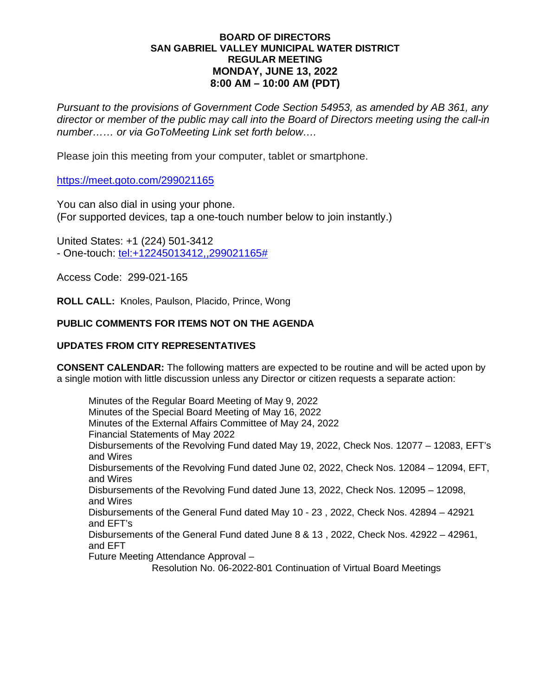## **BOARD OF DIRECTORS SAN GABRIEL VALLEY MUNICIPAL WATER DISTRICT REGULAR MEETING MONDAY, JUNE 13, 2022 8:00 AM – 10:00 AM (PDT)**

*Pursuant to the provisions of Government Code Section 54953, as amended by AB 361, any director or member of the public may call into the Board of Directors meeting using the call-in number…… or via GoToMeeting Link set forth below….*

Please join this meeting from your computer, tablet or smartphone.

https://meet.goto.com/299021165

You can also dial in using your phone. (For supported devices, tap a one-touch number below to join instantly.)

United States: +1 (224) 501-3412 - One-touch: [tel:+12245013412,,299021165#](tel:+12245013412,,299021165)

Access Code: 299-021-165

**ROLL CALL:** Knoles, Paulson, Placido, Prince, Wong

# **PUBLIC COMMENTS FOR ITEMS NOT ON THE AGENDA**

## **UPDATES FROM CITY REPRESENTATIVES**

**CONSENT CALENDAR:** The following matters are expected to be routine and will be acted upon by a single motion with little discussion unless any Director or citizen requests a separate action:

Minutes of the Regular Board Meeting of May 9, 2022 Minutes of the Special Board Meeting of May 16, 2022 Minutes of the External Affairs Committee of May 24, 2022 Financial Statements of May 2022 Disbursements of the Revolving Fund dated May 19, 2022, Check Nos. 12077 – 12083, EFT's and Wires Disbursements of the Revolving Fund dated June 02, 2022, Check Nos. 12084 – 12094, EFT, and Wires Disbursements of the Revolving Fund dated June 13, 2022, Check Nos. 12095 – 12098, and Wires Disbursements of the General Fund dated May 10 - 23 , 2022, Check Nos. 42894 – 42921 and EFT's Disbursements of the General Fund dated June 8 & 13 , 2022, Check Nos. 42922 – 42961, and EFT Future Meeting Attendance Approval –

Resolution No. 06-2022-801 Continuation of Virtual Board Meetings